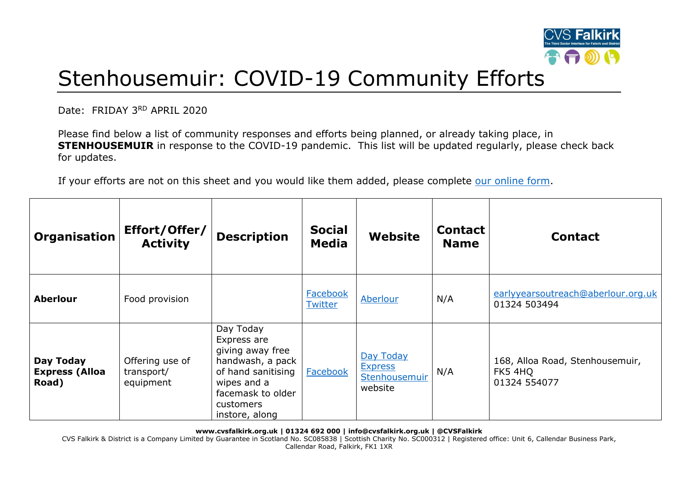

## Stenhousemuir: COVID-19 Community Efforts

Date: FRIDAY 3RD APRIL 2020

Please find below a list of community responses and efforts being planned, or already taking place, in **STENHOUSEMUIR** in response to the COVID-19 pandemic. This list will be updated regularly, please check back for updates.

If your efforts are not on this sheet and you would like them added, please complete [our online form.](https://forms.office.com/Pages/ResponsePage.aspx?id=6VEZaLCW4EefTnjqs1GaupRwm5MIeS1HoQIx_4VQsBJUODFFNjQ4S0YzN0tIODdPOUJWTTJFNkg2QS4u)

| Organisation                                | Effort/Offer/<br><b>Activity</b>           | <b>Description</b>                                                                                                                                        | <b>Social</b><br><b>Media</b> | Website                                                 | <b>Contact</b><br><b>Name</b> | <b>Contact</b>                                             |
|---------------------------------------------|--------------------------------------------|-----------------------------------------------------------------------------------------------------------------------------------------------------------|-------------------------------|---------------------------------------------------------|-------------------------------|------------------------------------------------------------|
| <b>Aberlour</b>                             | Food provision                             |                                                                                                                                                           | Facebook<br><b>Twitter</b>    | Aberlour                                                | N/A                           | earlyyearsoutreach@aberlour.org.uk<br>01324 503494         |
| Day Today<br><b>Express (Alloa</b><br>Road) | Offering use of<br>transport/<br>equipment | Day Today<br>Express are<br>giving away free<br>handwash, a pack<br>of hand sanitising<br>wipes and a<br>facemask to older<br>customers<br>instore, along | Facebook                      | Day Today<br><b>Express</b><br>Stenhousemuir<br>website | N/A                           | 168, Alloa Road, Stenhousemuir,<br>FK5 4HQ<br>01324 554077 |

**www.cvsfalkirk.org.uk | 01324 692 000 | info@cvsfalkirk.org.uk | @CVSFalkirk**

CVS Falkirk & District is a Company Limited by Guarantee in Scotland No. SC085838 | Scottish Charity No. SC000312 | Registered office: Unit 6, Callendar Business Park, Callendar Road, Falkirk, FK1 1XR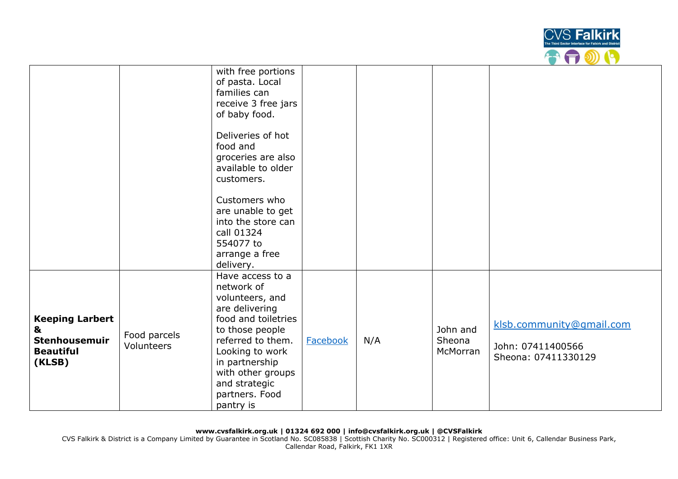

|                                                                            |                            | with free portions<br>of pasta. Local<br>families can<br>receive 3 free jars<br>of baby food.<br>Deliveries of hot<br>food and<br>groceries are also<br>available to older<br>customers.<br>Customers who<br>are unable to get<br>into the store can<br>call 01324 |                 |     |                                |                                                                      |
|----------------------------------------------------------------------------|----------------------------|--------------------------------------------------------------------------------------------------------------------------------------------------------------------------------------------------------------------------------------------------------------------|-----------------|-----|--------------------------------|----------------------------------------------------------------------|
|                                                                            |                            | 554077 to<br>arrange a free<br>delivery.                                                                                                                                                                                                                           |                 |     |                                |                                                                      |
| <b>Keeping Larbert</b><br>&<br>Stenhousemuir<br><b>Beautiful</b><br>(KLSB) | Food parcels<br>Volunteers | Have access to a<br>network of<br>volunteers, and<br>are delivering<br>food and toiletries<br>to those people<br>referred to them.<br>Looking to work<br>in partnership<br>with other groups<br>and strategic<br>partners. Food<br>pantry is                       | <b>Facebook</b> | N/A | John and<br>Sheona<br>McMorran | klsb.community@gmail.com<br>John: 07411400566<br>Sheona: 07411330129 |

CVS Falkirk & District is a Company Limited by Guarantee in Scotland No. SC085838 | Scottish Charity No. SC000312 | Registered office: Unit 6, Callendar Business Park, Callendar Road, Falkirk, FK1 1XR